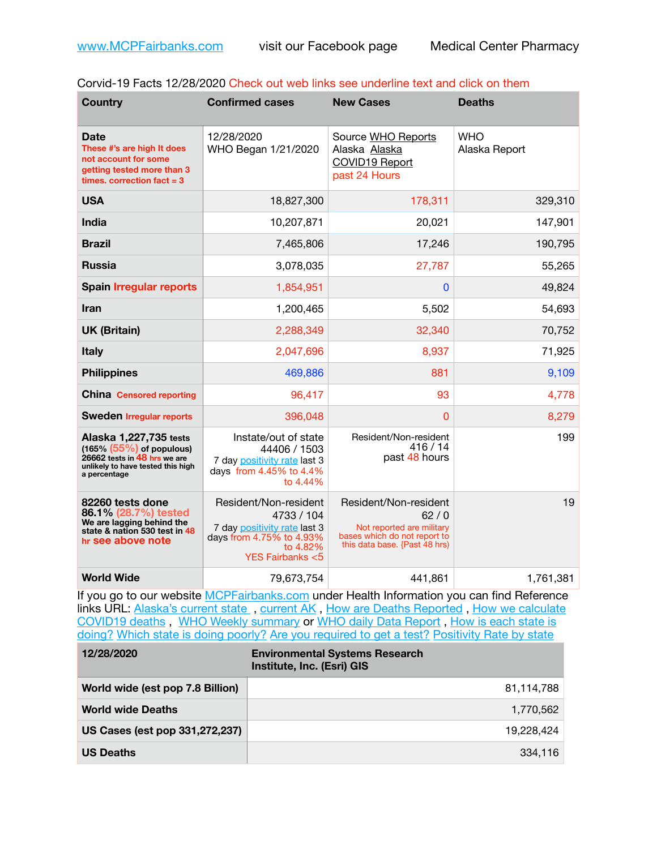| Corvid-19 Facts 12/28/2020 Check out web links see underline text and click on them |  |  |  |  |  |  |
|-------------------------------------------------------------------------------------|--|--|--|--|--|--|
|-------------------------------------------------------------------------------------|--|--|--|--|--|--|

| <b>Country</b>                                                                                                                              | <b>Confirmed cases</b>                                                                                                                    | <b>New Cases</b>                                                                                                            | <b>Deaths</b>               |
|---------------------------------------------------------------------------------------------------------------------------------------------|-------------------------------------------------------------------------------------------------------------------------------------------|-----------------------------------------------------------------------------------------------------------------------------|-----------------------------|
| Date<br>These #'s are high It does<br>not account for some<br>getting tested more than 3<br>times, correction fact $=$ 3                    | 12/28/2020<br>WHO Began 1/21/2020                                                                                                         | Source WHO Reports<br>Alaska Alaska<br>COVID19 Report<br>past 24 Hours                                                      | <b>WHO</b><br>Alaska Report |
| <b>USA</b>                                                                                                                                  | 18,827,300                                                                                                                                | 178,311                                                                                                                     | 329,310                     |
| <b>India</b>                                                                                                                                | 10,207,871                                                                                                                                | 20,021                                                                                                                      | 147,901                     |
| <b>Brazil</b>                                                                                                                               | 7,465,806                                                                                                                                 | 17,246                                                                                                                      | 190,795                     |
| <b>Russia</b>                                                                                                                               | 3,078,035                                                                                                                                 | 27,787                                                                                                                      | 55,265                      |
| <b>Spain Irregular reports</b>                                                                                                              | 1,854,951                                                                                                                                 | $\mathbf{0}$                                                                                                                | 49,824                      |
| <b>Iran</b>                                                                                                                                 | 1,200,465                                                                                                                                 | 5,502                                                                                                                       | 54,693                      |
| <b>UK (Britain)</b>                                                                                                                         | 2,288,349                                                                                                                                 | 32,340                                                                                                                      | 70,752                      |
| <b>Italy</b>                                                                                                                                | 2,047,696                                                                                                                                 | 8,937                                                                                                                       | 71,925                      |
| <b>Philippines</b>                                                                                                                          | 469,886                                                                                                                                   | 881                                                                                                                         | 9,109                       |
| <b>China Censored reporting</b>                                                                                                             | 96,417                                                                                                                                    | 93                                                                                                                          | 4,778                       |
| <b>Sweden Irregular reports</b>                                                                                                             | 396,048                                                                                                                                   | 0                                                                                                                           | 8,279                       |
| Alaska 1,227,735 tests<br>$(165\% (55\%)$ of populous)<br>26662 tests in 48 hrs we are<br>unlikely to have tested this high<br>a percentage | Instate/out of state<br>44406 / 1503<br>7 day positivity rate last 3<br>days from 4.45% to 4.4%<br>to 4.44%                               | Resident/Non-resident<br>416/14<br>past 48 hours                                                                            | 199                         |
| 82260 tests done<br>86.1% (28.7%) tested<br>We are lagging behind the<br>state & nation 530 test in 48<br>hr see above note                 | Resident/Non-resident<br>4733 / 104<br>7 day positivity rate last 3<br>days from 4.75% to 4.93%<br>to 4.82%<br><b>YES Fairbanks &lt;5</b> | Resident/Non-resident<br>62/0<br>Not reported are military<br>bases which do not report to<br>this data base. {Past 48 hrs) | 19                          |
| <b>World Wide</b>                                                                                                                           | 79,673,754                                                                                                                                | 441,861                                                                                                                     | 1,761,381                   |

If you go to our website [MCPFairbanks.com](http://www.MCPFairbanks.com) under Health Information you can find Reference links URL: Alaska's current state, current AK, [How are Deaths Reported](http://dhss.alaska.gov/dph/Epi/id/Pages/COVID-19/deathcounts.aspx), How we calculate [COVID19 deaths](https://coronavirus-response-alaska-dhss.hub.arcgis.com/search?collection=Document&groupIds=41ccb3344ebc4bd682c74073eba21f42) , [WHO Weekly summary](http://www.who.int) or [WHO daily Data Report](https://covid19.who.int/table) , [How is each state is](https://www.msn.com/en-us/news/us/state-by-state-coronavirus-news/ar-BB13E1PX?fbclid=IwAR0_OBJH7lSyTN3ug_MsOeFnNgB1orTa9OBgilKJ7dhnwlVvHEsptuKkj1c)  [doing?](https://www.msn.com/en-us/news/us/state-by-state-coronavirus-news/ar-BB13E1PX?fbclid=IwAR0_OBJH7lSyTN3ug_MsOeFnNgB1orTa9OBgilKJ7dhnwlVvHEsptuKkj1c) [Which state is doing poorly?](https://bestlifeonline.com/covid-outbreak-your-state/?utm_source=nsltr&utm_medium=email&utm_content=covid-outbreak-your-state&utm_campaign=launch) [Are you required to get a test?](http://dhss.alaska.gov/dph/Epi/id/SiteAssets/Pages/HumanCoV/Whattodoafteryourtest.pdf) [Positivity Rate by state](https://coronavirus.jhu.edu/testing/individual-states/alaska)

| 12/28/2020                       | <b>Environmental Systems Research</b><br>Institute, Inc. (Esri) GIS |
|----------------------------------|---------------------------------------------------------------------|
| World wide (est pop 7.8 Billion) | 81,114,788                                                          |
| <b>World wide Deaths</b>         | 1.770.562                                                           |
| US Cases (est pop 331,272,237)   | 19.228.424                                                          |
| <b>US Deaths</b>                 | 334,116                                                             |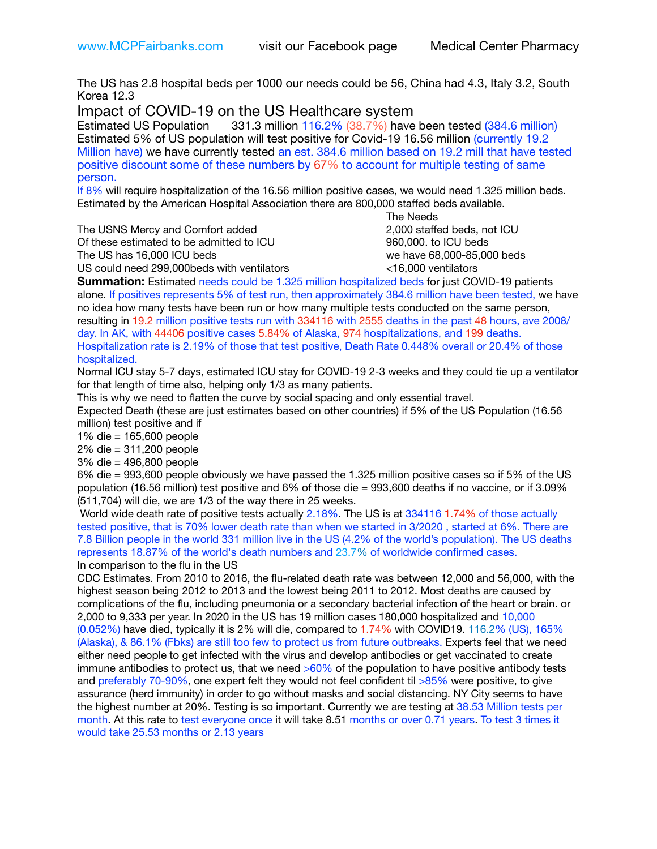The US has 2.8 hospital beds per 1000 our needs could be 56, China had 4.3, Italy 3.2, South Korea 12.3

Impact of COVID-19 on the US Healthcare system

Estimated US Population 331.3 million 116.2% (38.7%) have been tested (384.6 million) Estimated 5% of US population will test positive for Covid-19 16.56 million (currently 19.2 Million have) we have currently tested an est. 384.6 million based on 19.2 mill that have tested positive discount some of these numbers by 67% to account for multiple testing of same person.

If 8% will require hospitalization of the 16.56 million positive cases, we would need 1.325 million beds. Estimated by the American Hospital Association there are 800,000 staffed beds available. 

The USNS Mercy and Comfort added 2,000 staffed beds, not ICU

Of these estimated to be admitted to ICU 960,000. to ICU beds The US has 16,000 ICU beds we have 68,000-85,000 beds ve have 68,000-85,000 beds

 The Needs US could need 299,000beds with ventilators <16,000 ventilators

**Summation:** Estimated needs could be 1.325 million hospitalized beds for just COVID-19 patients alone. If positives represents 5% of test run, then approximately 384.6 million have been tested, we have no idea how many tests have been run or how many multiple tests conducted on the same person, resulting in 19.2 million positive tests run with 334116 with 2555 deaths in the past 48 hours, ave 2008/ day. In AK, with 44406 positive cases 5.84% of Alaska, 974 hospitalizations, and 199 deaths. Hospitalization rate is 2.19% of those that test positive, Death Rate 0.448% overall or 20.4% of those hospitalized.

Normal ICU stay 5-7 days, estimated ICU stay for COVID-19 2-3 weeks and they could tie up a ventilator for that length of time also, helping only 1/3 as many patients.

This is why we need to flatten the curve by social spacing and only essential travel.

Expected Death (these are just estimates based on other countries) if 5% of the US Population (16.56 million) test positive and if

1% die = 165,600 people

2% die = 311,200 people

3% die = 496,800 people

6% die = 993,600 people obviously we have passed the 1.325 million positive cases so if 5% of the US population (16.56 million) test positive and 6% of those die = 993,600 deaths if no vaccine, or if 3.09% (511,704) will die, we are 1/3 of the way there in 25 weeks.

 World wide death rate of positive tests actually 2.18%. The US is at 334116 1.74% of those actually tested positive, that is 70% lower death rate than when we started in 3/2020 , started at 6%. There are 7.8 Billion people in the world 331 million live in the US (4.2% of the world's population). The US deaths represents 18.87% of the world's death numbers and 23.7% of worldwide confirmed cases. In comparison to the flu in the US

CDC Estimates. From 2010 to 2016, the flu-related death rate was between 12,000 and 56,000, with the highest season being 2012 to 2013 and the lowest being 2011 to 2012. Most deaths are caused by complications of the flu, including pneumonia or a secondary bacterial infection of the heart or brain. or 2,000 to 9,333 per year. In 2020 in the US has 19 million cases 180,000 hospitalized and 10,000 (0.052%) have died, typically it is 2% will die, compared to 1.74% with COVID19. 116.2% (US), 165% (Alaska), & 86.1% (Fbks) are still too few to protect us from future outbreaks. Experts feel that we need either need people to get infected with the virus and develop antibodies or get vaccinated to create immune antibodies to protect us, that we need  $>60\%$  of the population to have positive antibody tests and preferably 70-90%, one expert felt they would not feel confident til >85% were positive, to give assurance (herd immunity) in order to go without masks and social distancing. NY City seems to have the highest number at 20%. Testing is so important. Currently we are testing at 38.53 Million tests per month. At this rate to test everyone once it will take 8.51 months or over 0.71 years. To test 3 times it would take 25.53 months or 2.13 years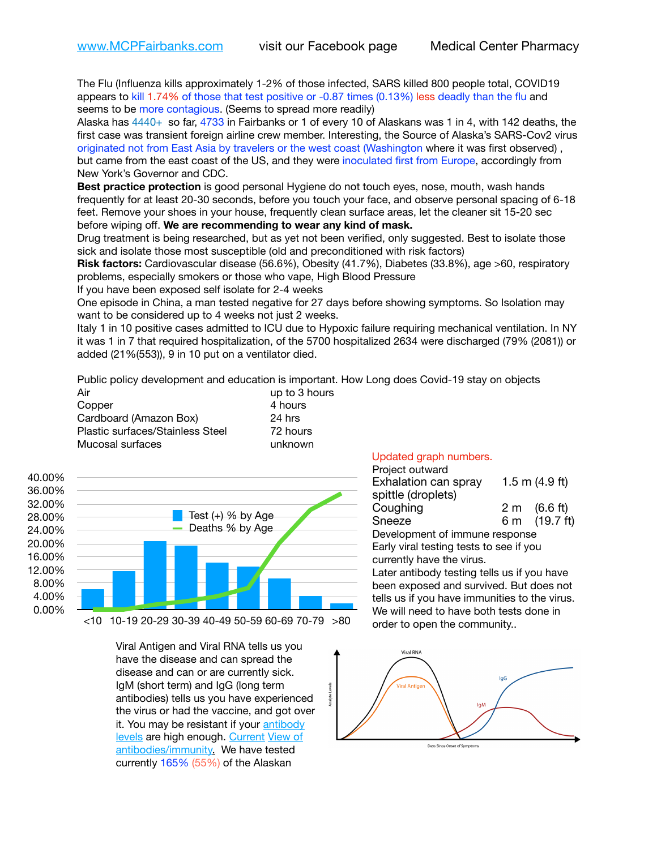The Flu (Influenza kills approximately 1-2% of those infected, SARS killed 800 people total, COVID19 appears to kill 1.74% of those that test positive or -0.87 times (0.13%) less deadly than the flu and seems to be more contagious. (Seems to spread more readily)

Alaska has 4440+ so far, 4733 in Fairbanks or 1 of every 10 of Alaskans was 1 in 4, with 142 deaths, the first case was transient foreign airline crew member. Interesting, the Source of Alaska's SARS-Cov2 virus originated not from East Asia by travelers or the west coast (Washington where it was first observed) , but came from the east coast of the US, and they were inoculated first from Europe, accordingly from New York's Governor and CDC.

**Best practice protection** is good personal Hygiene do not touch eyes, nose, mouth, wash hands frequently for at least 20-30 seconds, before you touch your face, and observe personal spacing of 6-18 feet. Remove your shoes in your house, frequently clean surface areas, let the cleaner sit 15-20 sec before wiping off. **We are recommending to wear any kind of mask.**

Drug treatment is being researched, but as yet not been verified, only suggested. Best to isolate those sick and isolate those most susceptible (old and preconditioned with risk factors)

**Risk factors:** Cardiovascular disease (56.6%), Obesity (41.7%), Diabetes (33.8%), age >60, respiratory problems, especially smokers or those who vape, High Blood Pressure

If you have been exposed self isolate for 2-4 weeks

One episode in China, a man tested negative for 27 days before showing symptoms. So Isolation may want to be considered up to 4 weeks not just 2 weeks.

Italy 1 in 10 positive cases admitted to ICU due to Hypoxic failure requiring mechanical ventilation. In NY it was 1 in 7 that required hospitalization, of the 5700 hospitalized 2634 were discharged (79% (2081)) or added (21%(553)), 9 in 10 put on a ventilator died.

Public policy development and education is important. How Long does Covid-19 stay on objects

| Air                              | up to 3 hours |
|----------------------------------|---------------|
| Copper                           | 4 hours       |
| Cardboard (Amazon Box)           | 24 hrs        |
| Plastic surfaces/Stainless Steel | 72 hours      |
| Mucosal surfaces                 | unknown       |



Viral Antigen and Viral RNA tells us you have the disease and can spread the disease and can or are currently sick. IgM (short term) and IgG (long term antibodies) tells us you have experienced the virus or had the vaccine, and got over it. You may be resistant if your antibody [levels](https://www.cdc.gov/coronavirus/2019-ncov/lab/resources/antibody-tests.html) are high enough. [Current](https://l.facebook.com/l.php?u=https://www.itv.com/news/2020-10-26/covid-19-antibody-levels-reduce-over-time-study-finds?fbclid=IwAR3Dapzh1qIH1EIOdUQI2y8THf7jfA4KBCaJz8Qg-8xe1YsrR4nsAHDIXSY&h=AT30nut8pkqp0heVuz5W2rT2WFFm-2Ab52BsJxZZCNlGsX58IpPkuVEPULbIUV_M16MAukx1Kwb657DPXxsgDN1rpOQ4gqBtQsmVYiWpnHPJo2RQsU6CPMd14lgLnQnFWxfVi6zvmw&__tn__=-UK-R&c%5B0%5D=AT1GaRAfR_nGAyqcn7TI1-PpvqOqEKXHnz6TDWvRStMnOSH7boQDvTiwTOc6VId9UES6LKiOmm2m88wKCoolkJyOFvakt2Z1Mw8toYWGGoWW23r0MNVBl7cYJXB_UOvGklNHaNnaNr1_S7NhT3BSykNOBg) View of [antibodies/immunity](https://www.livescience.com/antibodies.html)[.](https://www.itv.com/news/2020-10-26/covid-19-antibody-levels-reduce-over-time-study-finds) We have tested currently 165% (55%) of the Alaskan

## Updated graph numbers.

| Project outward<br>Exhalation can spray       | 1.5 m $(4.9$ ft) |
|-----------------------------------------------|------------------|
| spittle (droplets)                            |                  |
| Coughing                                      | 2 m (6.6 ft)     |
| Sneeze                                        | 6 m (19.7 ft)    |
| Development of immune response                |                  |
| Early viral testing tests to see if you       |                  |
| currently have the virus.                     |                  |
| Later antibody testing tells us if you have   |                  |
| been exposed and survived. But does not       |                  |
| tells us if you have immunities to the virus. |                  |
| We will need to have both tests done in       |                  |
| order to open the community                   |                  |
|                                               |                  |



Days Since Onset of Symptoms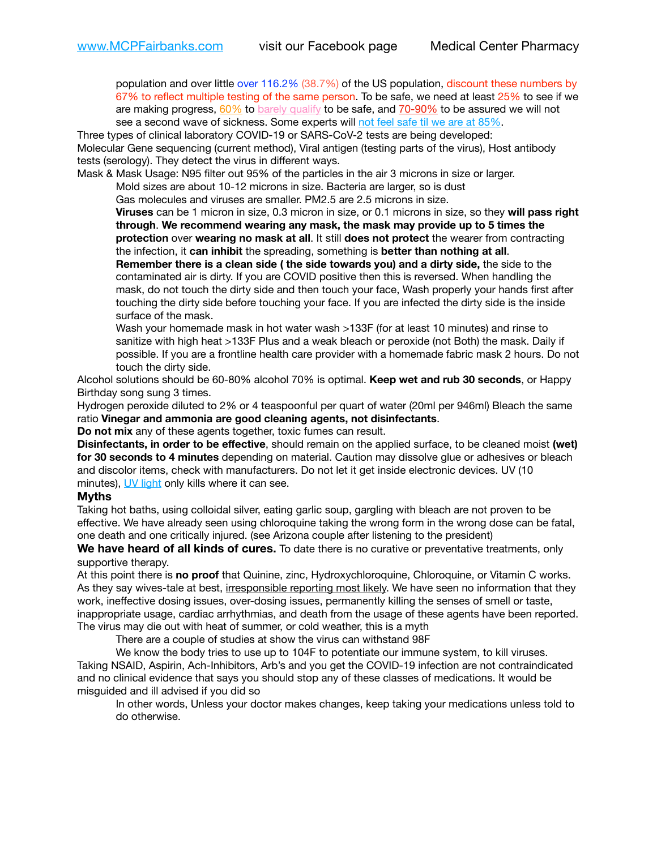population and over little over 116.2% (38.7%) of the US population, discount these numbers by 67% to reflect multiple testing of the same person. To be safe, we need at least 25% to see if we are making progress,  $60\%$  to [barely qualify](https://www.nature.com/articles/d41586-020-02948-4) to be safe, and  $70-90\%$  to be assured we will not see a second wave of sickness. Some experts will [not feel safe til we are at 85%.](https://www.bannerhealth.com/healthcareblog/teach-me/what-is-herd-immunity)

Three types of clinical laboratory COVID-19 or SARS-CoV-2 tests are being developed: Molecular Gene sequencing (current method), Viral antigen (testing parts of the virus), Host antibody tests (serology). They detect the virus in different ways.

Mask & Mask Usage: N95 filter out 95% of the particles in the air 3 microns in size or larger.

Mold sizes are about 10-12 microns in size. Bacteria are larger, so is dust

Gas molecules and viruses are smaller. PM2.5 are 2.5 microns in size.

**Viruses** can be 1 micron in size, 0.3 micron in size, or 0.1 microns in size, so they **will pass right through**. **We recommend wearing any mask, the mask may provide up to 5 times the protection** over **wearing no mask at all**. It still **does not protect** the wearer from contracting the infection, it **can inhibit** the spreading, something is **better than nothing at all**.

**Remember there is a clean side ( the side towards you) and a dirty side,** the side to the contaminated air is dirty. If you are COVID positive then this is reversed. When handling the mask, do not touch the dirty side and then touch your face, Wash properly your hands first after touching the dirty side before touching your face. If you are infected the dirty side is the inside surface of the mask.

Wash your homemade mask in hot water wash >133F (for at least 10 minutes) and rinse to sanitize with high heat >133F Plus and a weak bleach or peroxide (not Both) the mask. Daily if possible. If you are a frontline health care provider with a homemade fabric mask 2 hours. Do not touch the dirty side.

Alcohol solutions should be 60-80% alcohol 70% is optimal. **Keep wet and rub 30 seconds**, or Happy Birthday song sung 3 times.

Hydrogen peroxide diluted to 2% or 4 teaspoonful per quart of water (20ml per 946ml) Bleach the same ratio **Vinegar and ammonia are good cleaning agents, not disinfectants**.

**Do not mix** any of these agents together, toxic fumes can result.

**Disinfectants, in order to be effective**, should remain on the applied surface, to be cleaned moist **(wet) for 30 seconds to 4 minutes** depending on material. Caution may dissolve glue or adhesives or bleach and discolor items, check with manufacturers. Do not let it get inside electronic devices. UV (10 minutes), [UV light](http://www.docreviews.me/best-uv-boxes-2020/?fbclid=IwAR3bvFtXB48OoBBSvYvTEnKuHNPbipxM6jUo82QUSw9wckxjC7wwRZWabGw) only kills where it can see.

## **Myths**

Taking hot baths, using colloidal silver, eating garlic soup, gargling with bleach are not proven to be effective. We have already seen using chloroquine taking the wrong form in the wrong dose can be fatal, one death and one critically injured. (see Arizona couple after listening to the president)

**We have heard of all kinds of cures.** To date there is no curative or preventative treatments, only supportive therapy.

At this point there is **no proof** that Quinine, zinc, Hydroxychloroquine, Chloroquine, or Vitamin C works. As they say wives-tale at best, irresponsible reporting most likely. We have seen no information that they work, ineffective dosing issues, over-dosing issues, permanently killing the senses of smell or taste, inappropriate usage, cardiac arrhythmias, and death from the usage of these agents have been reported. The virus may die out with heat of summer, or cold weather, this is a myth

There are a couple of studies at show the virus can withstand 98F

We know the body tries to use up to 104F to potentiate our immune system, to kill viruses. Taking NSAID, Aspirin, Ach-Inhibitors, Arb's and you get the COVID-19 infection are not contraindicated and no clinical evidence that says you should stop any of these classes of medications. It would be misguided and ill advised if you did so

In other words, Unless your doctor makes changes, keep taking your medications unless told to do otherwise.